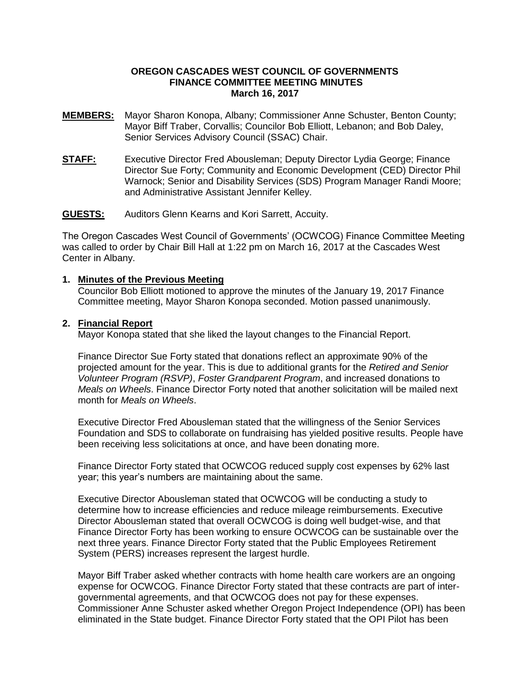## **OREGON CASCADES WEST COUNCIL OF GOVERNMENTS FINANCE COMMITTEE MEETING MINUTES March 16, 2017**

- **MEMBERS:** Mayor Sharon Konopa, Albany; Commissioner Anne Schuster, Benton County; Mayor Biff Traber, Corvallis; Councilor Bob Elliott, Lebanon; and Bob Daley, Senior Services Advisory Council (SSAC) Chair.
- **STAFF:** Executive Director Fred Abousleman; Deputy Director Lydia George; Finance Director Sue Forty; Community and Economic Development (CED) Director Phil Warnock; Senior and Disability Services (SDS) Program Manager Randi Moore; and Administrative Assistant Jennifer Kelley.

## **GUESTS:** Auditors Glenn Kearns and Kori Sarrett, Accuity.

The Oregon Cascades West Council of Governments' (OCWCOG) Finance Committee Meeting was called to order by Chair Bill Hall at 1:22 pm on March 16, 2017 at the Cascades West Center in Albany.

#### **1. Minutes of the Previous Meeting**

Councilor Bob Elliott motioned to approve the minutes of the January 19, 2017 Finance Committee meeting, Mayor Sharon Konopa seconded. Motion passed unanimously.

#### **2. Financial Report**

Mayor Konopa stated that she liked the layout changes to the Financial Report.

Finance Director Sue Forty stated that donations reflect an approximate 90% of the projected amount for the year. This is due to additional grants for the *Retired and Senior Volunteer Program (RSVP)*, *Foster Grandparent Program*, and increased donations to *Meals on Wheels*. Finance Director Forty noted that another solicitation will be mailed next month for *Meals on Wheels*.

Executive Director Fred Abousleman stated that the willingness of the Senior Services Foundation and SDS to collaborate on fundraising has yielded positive results. People have been receiving less solicitations at once, and have been donating more.

Finance Director Forty stated that OCWCOG reduced supply cost expenses by 62% last year; this year's numbers are maintaining about the same.

Executive Director Abousleman stated that OCWCOG will be conducting a study to determine how to increase efficiencies and reduce mileage reimbursements. Executive Director Abousleman stated that overall OCWCOG is doing well budget-wise, and that Finance Director Forty has been working to ensure OCWCOG can be sustainable over the next three years. Finance Director Forty stated that the Public Employees Retirement System (PERS) increases represent the largest hurdle.

Mayor Biff Traber asked whether contracts with home health care workers are an ongoing expense for OCWCOG. Finance Director Forty stated that these contracts are part of intergovernmental agreements, and that OCWCOG does not pay for these expenses. Commissioner Anne Schuster asked whether Oregon Project Independence (OPI) has been eliminated in the State budget. Finance Director Forty stated that the OPI Pilot has been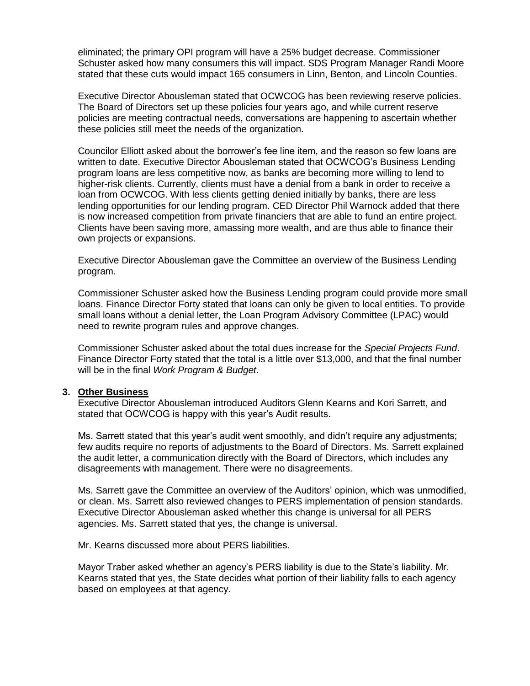eliminated; the primary OPI program will have a 25% budget decrease. Commissioner Schuster asked how many consumers this will impact. SDS Program Manager Randi Moore stated that these cuts would impact 165 consumers in Linn, Benton, and Lincoln Counties.

Executive Director Abousleman stated that OCWCOG has been reviewing reserve policies. The Board of Directors set up these policies four years ago, and while current reserve policies are meeting contractual needs, conversations are happening to ascertain whether these policies still meet the needs of the organization.

Councilor Elliott asked about the borrower's fee line item, and the reason so few loans are written to date. Executive Director Abousleman stated that OCWCOG's Business Lending program loans are less competitive now, as banks are becoming more willing to lend to higher-risk clients. Currently, clients must have a denial from a bank in order to receive a loan from OCWCOG. With less clients getting denied initially by banks, there are less lending opportunities for our lending program. CED Director Phil Warnock added that there is now increased competition from private financiers that are able to fund an entire project. Clients have been saving more, amassing more wealth, and are thus able to finance their own projects or expansions.

Executive Director Abousleman gave the Committee an overview of the Business Lending program.

Commissioner Schuster asked how the Business Lending program could provide more small loans. Finance Director Forty stated that loans can only be given to local entities. To provide small loans without a denial letter, the Loan Program Advisory Committee (LPAC) would need to rewrite program rules and approve changes.

Commissioner Schuster asked about the total dues increase for the *Special Projects Fund*. Finance Director Forty stated that the total is a little over \$13,000, and that the final number will be in the final *Work Program & Budget*.

#### **3. Other Business**

Executive Director Abousleman introduced Auditors Glenn Kearns and Kori Sarrett, and stated that OCWCOG is happy with this year's Audit results.

Ms. Sarrett stated that this year's audit went smoothly, and didn't require any adjustments; few audits require no reports of adjustments to the Board of Directors. Ms. Sarrett explained the audit letter, a communication directly with the Board of Directors, which includes any disagreements with management. There were no disagreements.

Ms. Sarrett gave the Committee an overview of the Auditors' opinion, which was unmodified, or clean. Ms. Sarrett also reviewed changes to PERS implementation of pension standards. Executive Director Abousleman asked whether this change is universal for all PERS agencies. Ms. Sarrett stated that yes, the change is universal.

Mr. Kearns discussed more about PERS liabilities.

Mayor Traber asked whether an agency's PERS liability is due to the State's liability. Mr. Kearns stated that yes, the State decides what portion of their liability falls to each agency based on employees at that agency.